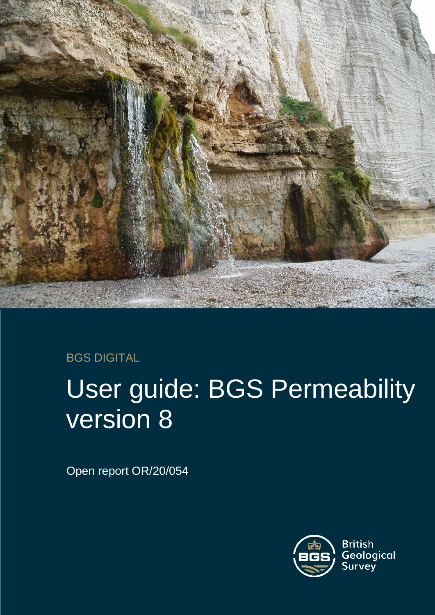

### BGS DIGITAL

# User guide: BGS Permeability version 8

Open report OR/20/054

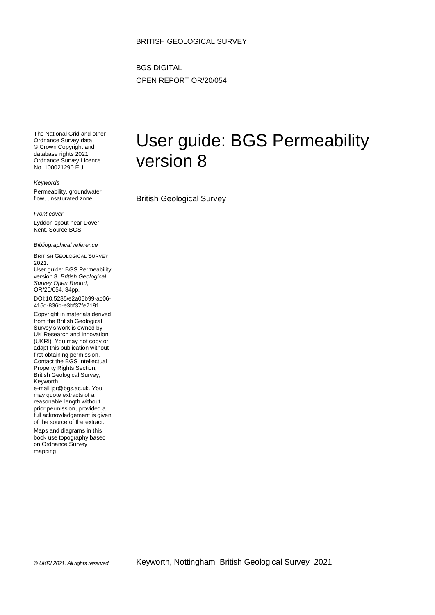#### BRITISH GEOLOGICAL SURVEY

BGS DIGITAL OPEN REPORT OR/20/054

The National Grid and other Ordnance Survey data © Crown Copyright and database rights 2021. Ordnance Survey Licence No. 100021290 EUL.

*Keywords*

Permeability, groundwater flow, unsaturated zone.

*Front cover*

Lyddon spout near Dover, Kent. Source BGS

*Bibliographical reference*

BRITISH GEOLOGICAL SURVEY 2021. User guide: BGS Permeability

version 8. *British Geological Survey Open Report*, OR/20/054. 34pp.

DOI:10.5285/e2a05b99-ac06- 415d-836b-e3bf37fe7191

Copyright in materials derived from the British Geological Survey's work is owned by UK Research and Innovation (UKRI). You may not copy or adapt this publication without first obtaining permission. Contact the BGS Intellectual Property Rights Section, British Geological Survey, Keyworth, e-mail ipr@bgs.ac.uk. You may quote extracts of a reasonable length without prior permission, provided a

full acknowledgement is given of the source of the extract. Maps and diagrams in this

book use topography based on Ordnance Survey mapping.

# User guide: BGS Permeability version 8

British Geological Survey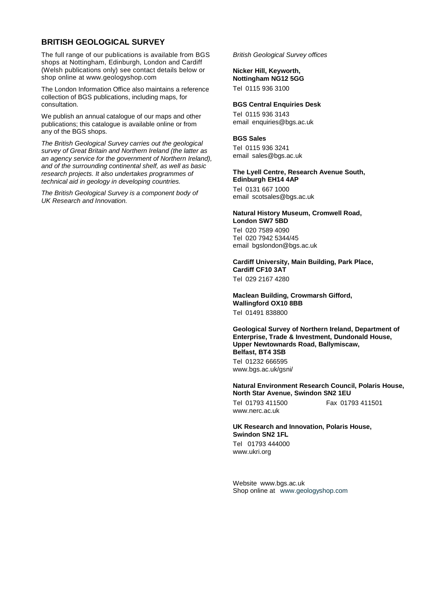#### **BRITISH GEOLOGICAL SURVEY**

The full range of our publications is available from BGS shops at Nottingham, Edinburgh, London and Cardiff (Welsh publications only) see contact details below or shop online at www.geologyshop.com

The London Information Office also maintains a reference collection of BGS publications, including maps, for consultation.

We publish an annual catalogue of our maps and other publications; this catalogue is available online or from any of the BGS shops.

*The British Geological Survey carries out the geological survey of Great Britain and Northern Ireland (the latter as an agency service for the government of Northern Ireland), and of the surrounding continental shelf, as well as basic research projects. It also undertakes programmes of technical aid in geology in developing countries.*

*The British Geological Survey is a component body of UK Research and Innovation.*

*British Geological Survey offices*

#### **Nicker Hill, Keyworth,**

**Nottingham NG12 5GG** Tel 0115 936 3100

#### **BGS Central Enquiries Desk**

Tel 0115 936 3143 email enquiries@bgs.ac.uk

#### **BGS Sales**

Tel 0115 936 3241 email sales@bgs.ac.uk

#### **The Lyell Centre, Research Avenue South, Edinburgh EH14 4AP**

Tel 0131 667 1000 email scotsales@bgs.ac.uk

#### **Natural History Museum, Cromwell Road, London SW7 5BD**

Tel 020 7589 4090 Tel 020 7942 5344/45 email bgslondon@bgs.ac.uk

#### **Cardiff University, Main Building, Park Place, Cardiff CF10 3AT**

Tel 029 2167 4280

**Maclean Building, Crowmarsh Gifford, Wallingford OX10 8BB** Tel 01491 838800

#### **Geological Survey of Northern Ireland, Department of Enterprise, Trade & Investment, Dundonald House, Upper Newtownards Road, Ballymiscaw, Belfast, BT4 3SB**

Tel 01232 666595 www.bgs.ac.uk/gsni/

#### **Natural Environment Research Council, Polaris House, North Star Avenue, Swindon SN2 1EU**

www.nerc.ac.uk

Tel 01793 411500 Fax 01793 411501

#### **UK Research and Innovation, Polaris House, Swindon SN2 1FL**

Tel 01793 444000 www.ukri.org

Website www.bgs.ac.uk Shop online at [www.geologyshop.com](http://www.geologyshop.com/)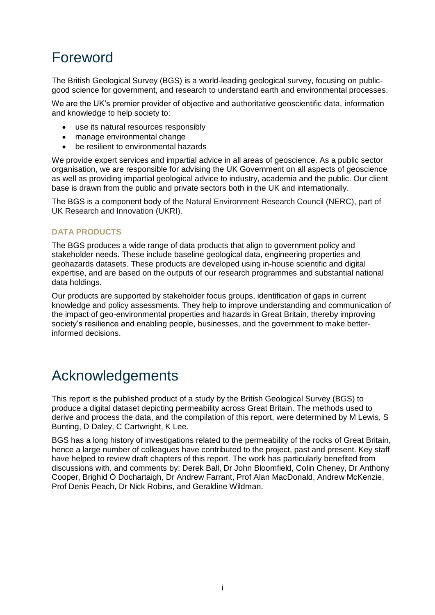### Foreword

The British Geological Survey (BGS) is a world-leading geological survey, focusing on publicgood science for government, and research to understand earth and environmental processes.

We are the UK's premier provider of objective and authoritative geoscientific data, information and knowledge to help society to:

- use its natural resources responsibly
- manage environmental change
- be resilient to environmental hazards

We provide expert services and impartial advice in all areas of geoscience. As a public sector organisation, we are responsible for advising the UK Government on all aspects of geoscience as well as providing impartial geological advice to industry, academia and the public. Our client base is drawn from the public and private sectors both in the UK and internationally.

The BGS is a component body of the Natural Environment Research Council (NERC), part of UK Research and Innovation (UKRI).

#### **DATA PRODUCTS**

The BGS produces a wide range of data products that align to government policy and stakeholder needs. These include baseline geological data, engineering properties and geohazards datasets. These products are developed using in-house scientific and digital expertise, and are based on the outputs of our research programmes and substantial national data holdings.

Our products are supported by stakeholder focus groups, identification of gaps in current knowledge and policy assessments. They help to improve understanding and communication of the impact of geo-environmental properties and hazards in Great Britain, thereby improving society's resilience and enabling people, businesses, and the government to make betterinformed decisions.

### Acknowledgements

This report is the published product of a study by the British Geological Survey (BGS) to produce a digital dataset depicting permeability across Great Britain. The methods used to derive and process the data, and the compilation of this report, were determined by M Lewis, S Bunting, D Daley, C Cartwright, K Lee.

BGS has a long history of investigations related to the permeability of the rocks of Great Britain, hence a large number of colleagues have contributed to the project, past and present. Key staff have helped to review draft chapters of this report. The work has particularly benefited from discussions with, and comments by: Derek Ball, Dr John Bloomfield, Colin Cheney, Dr Anthony Cooper, Brighid Ó Dochartaigh, Dr Andrew Farrant, Prof Alan MacDonald, Andrew McKenzie, Prof Denis Peach, Dr Nick Robins, and Geraldine Wildman.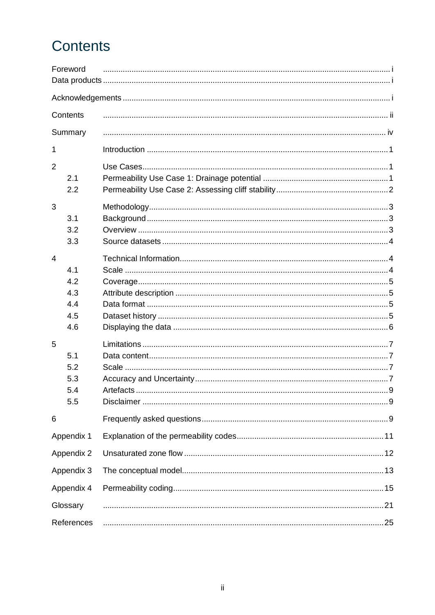# Contents

|                | Foreword   |    |  |
|----------------|------------|----|--|
|                |            |    |  |
|                | Contents   |    |  |
|                | Summary    |    |  |
| 1              |            |    |  |
| $\overline{2}$ |            |    |  |
|                | 2.1        |    |  |
|                | 2.2        |    |  |
| 3              |            |    |  |
|                | 3.1        |    |  |
|                | 3.2        |    |  |
|                | 3.3        |    |  |
| $\overline{4}$ |            |    |  |
|                | 4.1        |    |  |
|                | 4.2        |    |  |
|                | 4.3        |    |  |
|                | 4.4        |    |  |
|                | 4.5        |    |  |
|                | 4.6        |    |  |
| 5              |            |    |  |
|                | 5.1        |    |  |
|                | 5.2        |    |  |
|                | 5.3        |    |  |
|                | 5.4        |    |  |
|                | 5.5        |    |  |
| 6              |            |    |  |
|                | Appendix 1 |    |  |
| Appendix 2     |            |    |  |
| Appendix 3     |            |    |  |
| Appendix 4     |            |    |  |
| Glossary       |            | 21 |  |
| References     |            |    |  |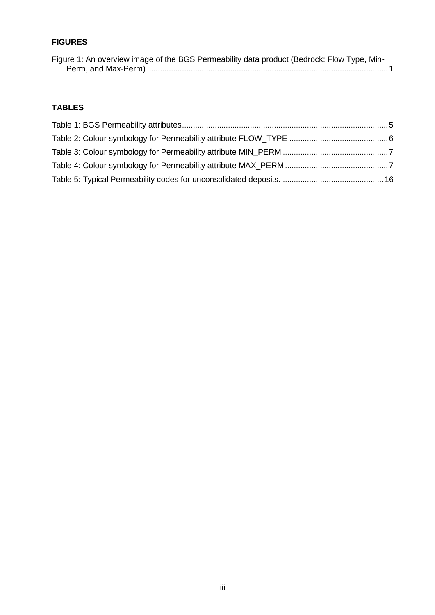### **FIGURES**

| Figure 1: An overview image of the BGS Permeability data product (Bedrock: Flow Type, Min- |  |
|--------------------------------------------------------------------------------------------|--|
|                                                                                            |  |

### **TABLES**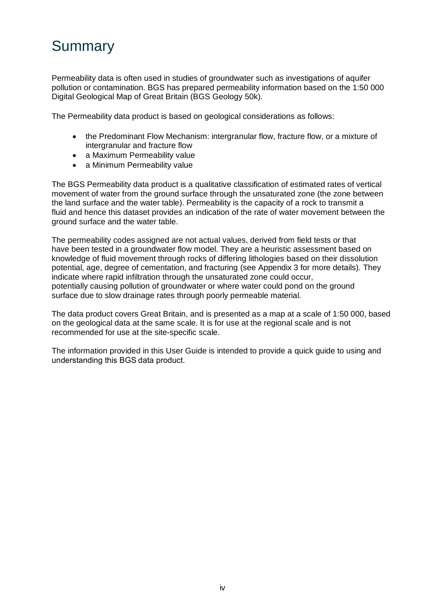# **Summary**

Permeability data is often used in studies of groundwater such as investigations of aquifer pollution or contamination. BGS has prepared permeability information based on the 1:50 000 Digital Geological Map of Great Britain (BGS Geology 50k).

The Permeability data product is based on geological considerations as follows:

- the Predominant Flow Mechanism: intergranular flow, fracture flow, or a mixture of intergranular and fracture flow
- a Maximum Permeability value
- a Minimum Permeability value

The BGS Permeability data product is a qualitative classification of estimated rates of vertical movement of water from the ground surface through the unsaturated zone (the zone between the land surface and the water table). Permeability is the capacity of a rock to transmit a fluid and hence this dataset provides an indication of the rate of water movement between the ground surface and the water table.

The permeability codes assigned are not actual values, derived from field tests or that have been tested in a groundwater flow model. They are a heuristic assessment based on knowledge of fluid movement through rocks of differing lithologies based on their dissolution potential, age, degree of cementation, and fracturing (see Appendix 3 for more details). They indicate where rapid infiltration through the unsaturated zone could occur, potentially causing pollution of groundwater or where water could pond on the ground surface due to slow drainage rates through poorly permeable material.

The data product covers Great Britain, and is presented as a map at a scale of 1:50 000, based on the geological data at the same scale. It is for use at the regional scale and is not recommended for use at the site-specific scale.

The information provided in this User Guide is intended to provide a quick guide to using and understanding this BGS data product.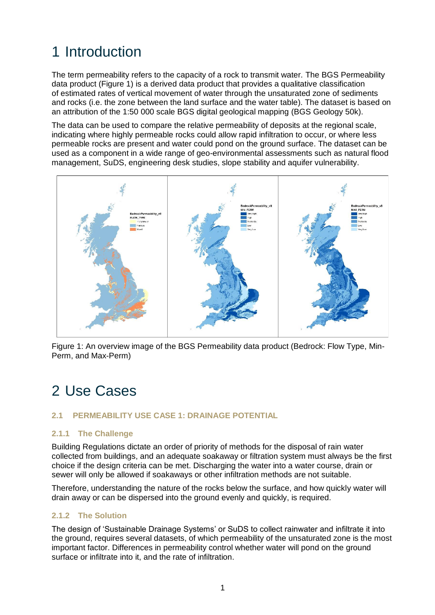# 1 Introduction

The term permeability refers to the capacity of a rock to transmit water. The BGS Permeability data product (Figure 1) is a derived data product that provides a qualitative classification of estimated rates of vertical movement of water through the unsaturated zone of sediments and rocks (i.e. the zone between the land surface and the water table). The dataset is based on an attribution of the 1:50 000 scale BGS digital geological mapping (BGS Geology 50k).

The data can be used to compare the relative permeability of deposits at the regional scale, indicating where highly permeable rocks could allow rapid infiltration to occur, or where less permeable rocks are present and water could pond on the ground surface. The dataset can be used as a component in a wide range of geo-environmental assessments such as natural flood management, SuDS, engineering desk studies, slope stability and aquifer vulnerability.



<span id="page-8-0"></span>Figure 1: An overview image of the BGS Permeability data product (Bedrock: Flow Type, Min-Perm, and Max-Perm)

### 2 Use Cases

### **2.1 PERMEABILITY USE CASE 1: DRAINAGE POTENTIAL**

#### **2.1.1 The Challenge**

Building Regulations dictate an order of priority of methods for the disposal of rain water collected from buildings, and an adequate soakaway or filtration system must always be the first choice if the design criteria can be met. Discharging the water into a water course, drain or sewer will only be allowed if soakaways or other infiltration methods are not suitable.

Therefore, understanding the nature of the rocks below the surface, and how quickly water will drain away or can be dispersed into the ground evenly and quickly, is required.

#### **2.1.2 The Solution**

The design of 'Sustainable Drainage Systems' or SuDS to collect rainwater and infiltrate it into the ground, requires several datasets, of which permeability of the unsaturated zone is the most important factor. Differences in permeability control whether water will pond on the ground surface or infiltrate into it, and the rate of infiltration.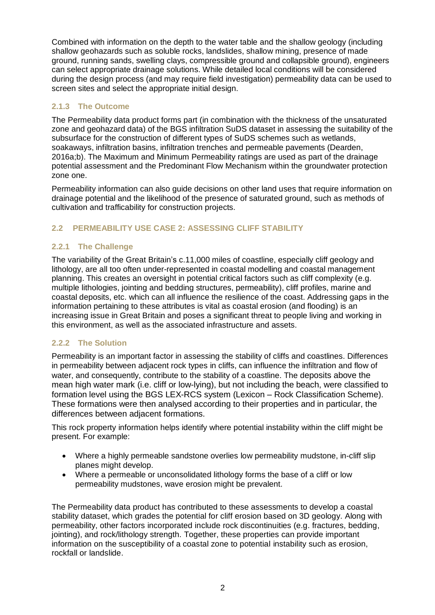Combined with information on the depth to the water table and the shallow geology (including shallow geohazards such as soluble rocks, landslides, shallow mining, presence of made ground, running sands, swelling clays, compressible ground and collapsible ground), engineers can select appropriate drainage solutions. While detailed local conditions will be considered during the design process (and may require field investigation) permeability data can be used to screen sites and select the appropriate initial design.

### **2.1.3 The Outcome**

The Permeability data product forms part (in combination with the thickness of the unsaturated zone and geohazard data) of the BGS infiltration SuDS dataset in assessing the suitability of the subsurface for the construction of different types of SuDS schemes such as wetlands, soakaways, infiltration basins, infiltration trenches and permeable pavements (Dearden, 2016a;b). The Maximum and Minimum Permeability ratings are used as part of the drainage potential assessment and the Predominant Flow Mechanism within the groundwater protection zone one.

Permeability information can also guide decisions on other land uses that require information on drainage potential and the likelihood of the presence of saturated ground, such as methods of cultivation and trafficability for construction projects.

### **2.2 PERMEABILITY USE CASE 2: ASSESSING CLIFF STABILITY**

### **2.2.1 The Challenge**

The variability of the Great Britain's c.11,000 miles of coastline, especially cliff geology and lithology, are all too often under-represented in coastal modelling and coastal management planning. This creates an oversight in potential critical factors such as cliff complexity (e.g. multiple lithologies, jointing and bedding structures, permeability), cliff profiles, marine and coastal deposits, etc. which can all influence the resilience of the coast. Addressing gaps in the information pertaining to these attributes is vital as coastal erosion (and flooding) is an increasing issue in Great Britain and poses a significant threat to people living and working in this environment, as well as the associated infrastructure and assets.

### **2.2.2 The Solution**

Permeability is an important factor in assessing the stability of cliffs and coastlines. Differences in permeability between adjacent rock types in cliffs, can influence the infiltration and flow of water, and consequently, contribute to the stability of a coastline. The deposits above the mean high water mark (i.e. cliff or low-lying), but not including the beach, were classified to formation level using the BGS LEX-RCS system (Lexicon – Rock Classification Scheme). These formations were then analysed according to their properties and in particular, the differences between adjacent formations.

This rock property information helps identify where potential instability within the cliff might be present. For example:

- Where a highly permeable sandstone overlies low permeability mudstone, in-cliff slip planes might develop.
- Where a permeable or unconsolidated lithology forms the base of a cliff or low permeability mudstones, wave erosion might be prevalent.

The Permeability data product has contributed to these assessments to develop a coastal stability dataset, which grades the potential for cliff erosion based on 3D geology. Along with permeability, other factors incorporated include rock discontinuities (e.g. fractures, bedding, jointing), and rock/lithology strength. Together, these properties can provide important information on the susceptibility of a coastal zone to potential instability such as erosion, rockfall or landslide.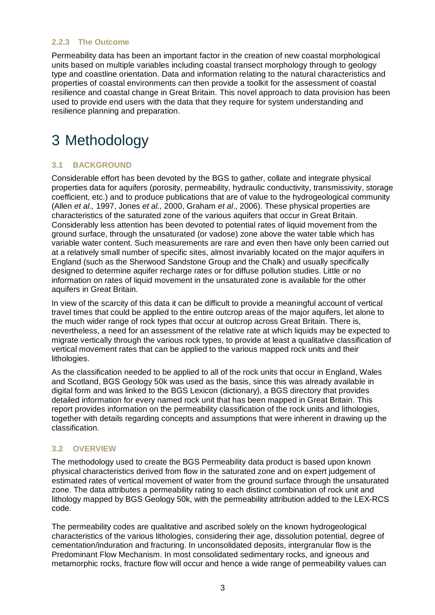#### **2.2.3 The Outcome**

Permeability data has been an important factor in the creation of new coastal morphological units based on multiple variables including coastal transect morphology through to geology type and coastline orientation. Data and information relating to the natural characteristics and properties of coastal environments can then provide a toolkit for the assessment of coastal resilience and coastal change in Great Britain. This novel approach to data provision has been used to provide end users with the data that they require for system understanding and resilience planning and preparation.

# <span id="page-10-0"></span>3 Methodology

### **3.1 BACKGROUND**

Considerable effort has been devoted by the BGS to gather, collate and integrate physical properties data for aquifers (porosity, permeability, hydraulic conductivity, transmissivity, storage coefficient, etc.) and to produce publications that are of value to the hydrogeological community (Allen *et al.,* 1997, Jones *et al.,* 2000, Graham *et al*., 2006). These physical properties are characteristics of the saturated zone of the various aquifers that occur in Great Britain. Considerably less attention has been devoted to potential rates of liquid movement from the ground surface, through the unsaturated (or vadose) zone above the water table which has variable water content. Such measurements are rare and even then have only been carried out at a relatively small number of specific sites, almost invariably located on the major aquifers in England (such as the Sherwood Sandstone Group and the Chalk) and usually specifically designed to determine aquifer recharge rates or for diffuse pollution studies. Little or no information on rates of liquid movement in the unsaturated zone is available for the other aquifers in Great Britain.

In view of the scarcity of this data it can be difficult to provide a meaningful account of vertical travel times that could be applied to the entire outcrop areas of the major aquifers, let alone to the much wider range of rock types that occur at outcrop across Great Britain. There is, nevertheless, a need for an assessment of the relative rate at which liquids may be expected to migrate vertically through the various rock types, to provide at least a qualitative classification of vertical movement rates that can be applied to the various mapped rock units and their lithologies.

As the classification needed to be applied to all of the rock units that occur in England, Wales and Scotland, BGS Geology 50k was used as the basis, since this was already available in digital form and was linked to the BGS Lexicon (dictionary), a BGS directory that provides detailed information for every named rock unit that has been mapped in Great Britain. This report provides information on the permeability classification of the rock units and lithologies, together with details regarding concepts and assumptions that were inherent in drawing up the classification.

### **3.2 OVERVIEW**

The methodology used to create the BGS Permeability data product is based upon known physical characteristics derived from flow in the saturated zone and on expert judgement of estimated rates of vertical movement of water from the ground surface through the unsaturated zone. The data attributes a permeability rating to each distinct combination of rock unit and lithology mapped by BGS Geology 50k, with the permeability attribution added to the LEX-RCS code.

The permeability codes are qualitative and ascribed solely on the known hydrogeological characteristics of the various lithologies, considering their age, dissolution potential, degree of cementation/induration and fracturing. In unconsolidated deposits, intergranular flow is the Predominant Flow Mechanism. In most consolidated sedimentary rocks, and igneous and metamorphic rocks, fracture flow will occur and hence a wide range of permeability values can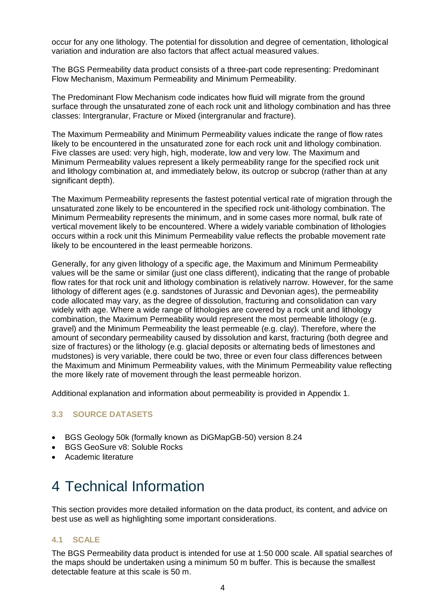occur for any one lithology. The potential for dissolution and degree of cementation, lithological variation and induration are also factors that affect actual measured values.

The BGS Permeability data product consists of a three-part code representing: Predominant Flow Mechanism, Maximum Permeability and Minimum Permeability.

The Predominant Flow Mechanism code indicates how fluid will migrate from the ground surface through the unsaturated zone of each rock unit and lithology combination and has three classes: Intergranular, Fracture or Mixed (intergranular and fracture).

The Maximum Permeability and Minimum Permeability values indicate the range of flow rates likely to be encountered in the unsaturated zone for each rock unit and lithology combination. Five classes are used: very high, high, moderate, low and very low. The Maximum and Minimum Permeability values represent a likely permeability range for the specified rock unit and lithology combination at, and immediately below, its outcrop or subcrop (rather than at any significant depth).

The Maximum Permeability represents the fastest potential vertical rate of migration through the unsaturated zone likely to be encountered in the specified rock unit-lithology combination. The Minimum Permeability represents the minimum, and in some cases more normal, bulk rate of vertical movement likely to be encountered. Where a widely variable combination of lithologies occurs within a rock unit this Minimum Permeability value reflects the probable movement rate likely to be encountered in the least permeable horizons.

Generally, for any given lithology of a specific age, the Maximum and Minimum Permeability values will be the same or similar (just one class different), indicating that the range of probable flow rates for that rock unit and lithology combination is relatively narrow. However, for the same lithology of different ages (e.g. sandstones of Jurassic and Devonian ages), the permeability code allocated may vary, as the degree of dissolution, fracturing and consolidation can vary widely with age. Where a wide range of lithologies are covered by a rock unit and lithology combination, the Maximum Permeability would represent the most permeable lithology (e.g. gravel) and the Minimum Permeability the least permeable (e.g. clay). Therefore, where the amount of secondary permeability caused by dissolution and karst, fracturing (both degree and size of fractures) or the lithology (e.g. glacial deposits or alternating beds of limestones and mudstones) is very variable, there could be two, three or even four class differences between the Maximum and Minimum Permeability values, with the Minimum Permeability value reflecting the more likely rate of movement through the least permeable horizon.

Additional explanation and information about permeability is provided in Appendix 1.

### **3.3 SOURCE DATASETS**

- BGS Geology 50k (formally known as DiGMapGB-50) version 8.24
- BGS GeoSure v8: Soluble Rocks
- Academic literature

# 4 Technical Information

This section provides more detailed information on the data product, its content, and advice on best use as well as highlighting some important considerations.

#### **4.1 SCALE**

The BGS Permeability data product is intended for use at 1:50 000 scale. All spatial searches of the maps should be undertaken using a minimum 50 m buffer. This is because the smallest detectable feature at this scale is 50 m.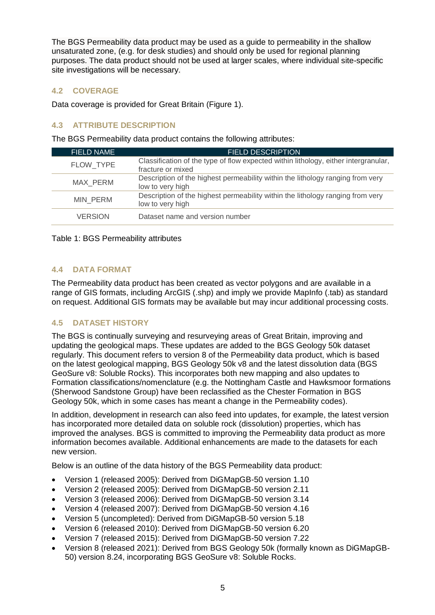The BGS Permeability data product may be used as a guide to permeability in the shallow unsaturated zone, (e.g. for desk studies) and should only be used for regional planning purposes. The data product should not be used at larger scales, where individual site-specific site investigations will be necessary.

### **4.2 COVERAGE**

Data coverage is provided for Great Britain [\(Figure 1\)](#page-8-0).

### **4.3 ATTRIBUTE DESCRIPTION**

The BGS Permeability data product contains the following attributes:

| <b>FIELD NAME</b> | <b>FIELD DESCRIPTION</b>                                                                                 |
|-------------------|----------------------------------------------------------------------------------------------------------|
| FLOW TYPE         | Classification of the type of flow expected within lithology, either intergranular,<br>fracture or mixed |
| MAX_PERM          | Description of the highest permeability within the lithology ranging from very<br>low to very high       |
| <b>MIN PERM</b>   | Description of the highest permeability within the lithology ranging from very<br>low to very high       |
| <b>VERSION</b>    | Dataset name and version number                                                                          |

Table 1: BGS Permeability attributes

#### **4.4 DATA FORMAT**

The Permeability data product has been created as vector polygons and are available in a range of GIS formats, including ArcGIS (.shp) and imply we provide MapInfo (.tab) as standard on request. Additional GIS formats may be available but may incur additional processing costs.

#### **4.5 DATASET HISTORY**

The BGS is continually surveying and resurveying areas of Great Britain, improving and updating the geological maps. These updates are added to the BGS Geology 50k dataset regularly. This document refers to version 8 of the Permeability data product, which is based on the latest geological mapping, BGS Geology 50k v8 and the latest dissolution data (BGS GeoSure v8: Soluble Rocks). This incorporates both new mapping and also updates to Formation classifications/nomenclature (e.g. the Nottingham Castle and Hawksmoor formations (Sherwood Sandstone Group) have been reclassified as the Chester Formation in BGS Geology 50k, which in some cases has meant a change in the Permeability codes).

In addition, development in research can also feed into updates, for example, the latest version has incorporated more detailed data on soluble rock (dissolution) properties, which has improved the analyses. BGS is committed to improving the Permeability data product as more information becomes available. Additional enhancements are made to the datasets for each new version.

Below is an outline of the data history of the BGS Permeability data product:

- Version 1 (released 2005): Derived from DiGMapGB-50 version 1.10
- Version 2 (released 2005): Derived from DiGMapGB-50 version 2.11
- Version 3 (released 2006): Derived from DiGMapGB-50 version 3.14
- Version 4 (released 2007): Derived from DiGMapGB-50 version 4.16
- Version 5 (uncompleted): Derived from DiGMapGB-50 version 5.18
- Version 6 (released 2010): Derived from DiGMapGB-50 version 6.20
- Version 7 (released 2015): Derived from DiGMapGB-50 version 7.22
- Version 8 (released 2021): Derived from BGS Geology 50k (formally known as DiGMapGB-50) version 8.24, incorporating BGS GeoSure v8: Soluble Rocks.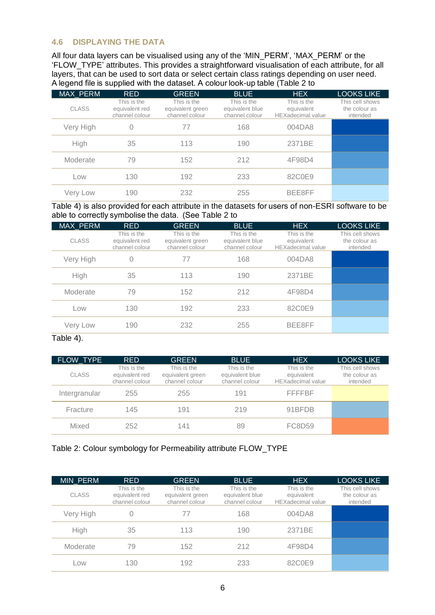#### **4.6 DISPLAYING THE DATA**

All four data layers can be visualised using any of the 'MIN\_PERM', 'MAX\_PERM' or the 'FLOW\_TYPE' attributes. This provides a straightforward visualisation of each attribute, for all layers, that can be used to sort data or select certain class ratings depending on user need. A legend file is supplied with the dataset. A colour look-up table [\(Table 2](#page-13-0) to

|  | MAX PERM     | <b>RED</b>                                      | <b>GREEN</b>                                      | <b>BLUE</b>                                      | <b>HEX</b>                                            | <b>LOOKS LIKE</b>                            |  |  |
|--|--------------|-------------------------------------------------|---------------------------------------------------|--------------------------------------------------|-------------------------------------------------------|----------------------------------------------|--|--|
|  | <b>CLASS</b> | This is the<br>equivalent red<br>channel colour | This is the<br>equivalent green<br>channel colour | This is the<br>equivalent blue<br>channel colour | This is the<br>equivalent<br><b>HEXadecimal value</b> | This cell shows<br>the colour as<br>intended |  |  |
|  | Very High    | 0                                               | 77                                                | 168                                              | 004DA8                                                |                                              |  |  |
|  | High         | 35                                              | 113                                               | 190                                              | 2371BE                                                |                                              |  |  |
|  | Moderate     | 79                                              | 152                                               | 212                                              | 4F98D4                                                |                                              |  |  |
|  | Low          | 130                                             | 192                                               | 233                                              | 82C0E9                                                |                                              |  |  |
|  | Very Low     | 190                                             | 232                                               | 255                                              | BEE8FF                                                |                                              |  |  |

[Table 4\)](#page-14-0) is also provided for each attribute in the datasets [for users of non-ESRI software to be](#page-14-0)  able to correctly symbolise the data.  (See [Table 2](#page-13-0) to

| MAX PERM     | <b>RED</b>                                      | <b>GREEN</b>                                      | <b>BLUE</b>                                      | <b>HEX</b>                                            | <b>LOOKS LIKE</b>                            |
|--------------|-------------------------------------------------|---------------------------------------------------|--------------------------------------------------|-------------------------------------------------------|----------------------------------------------|
| <b>CLASS</b> | This is the<br>equivalent red<br>channel colour | This is the<br>equivalent green<br>channel colour | This is the<br>equivalent blue<br>channel colour | This is the<br>equivalent<br><b>HEXadecimal</b> value | This cell shows<br>the colour as<br>intended |
| Very High    | $\Omega$                                        | 77                                                | 168                                              | 004DA8                                                |                                              |
| High         | 35                                              | 113                                               | 190                                              | 2371BE                                                |                                              |
| Moderate     | 79                                              | 152                                               | 212                                              | 4F98D4                                                |                                              |
| Low          | 130                                             | 192                                               | 233                                              | 82C0E9                                                |                                              |
| Very Low     | 190                                             | 232                                               | 255                                              | BEE8FF                                                |                                              |

[Table 4\)](#page-14-0).

| FLOW TYPE     | <b>RED</b>                                      | <b>GREEN</b>                                      | <b>BLUE</b>                                      | <b>HEX</b>                                            | <b>LOOKS LIKE</b>                            |
|---------------|-------------------------------------------------|---------------------------------------------------|--------------------------------------------------|-------------------------------------------------------|----------------------------------------------|
| <b>CLASS</b>  | This is the<br>equivalent red<br>channel colour | This is the<br>equivalent green<br>channel colour | This is the<br>equivalent blue<br>channel colour | This is the<br>equivalent<br><b>HEXadecimal value</b> | This cell shows<br>the colour as<br>intended |
| Intergranular | 255                                             | 255                                               | 191                                              | <b>FFFFBF</b>                                         |                                              |
| Fracture      | 145                                             | 191                                               | 219                                              | 91BFDB                                                |                                              |
| Mixed         | 252                                             | 141                                               | 89                                               | FC8D59                                                |                                              |

### <span id="page-13-0"></span>Table 2: Colour symbology for Permeability attribute FLOW\_TYPE

| <b>MIN PERM</b> | <b>RED</b>                                      | <b>GREEN</b>                                      | <b>BLUE</b>                                      | <b>HEX</b>                                            | <b>LOOKS LIKE</b>                            |
|-----------------|-------------------------------------------------|---------------------------------------------------|--------------------------------------------------|-------------------------------------------------------|----------------------------------------------|
| <b>CLASS</b>    | This is the<br>equivalent red<br>channel colour | This is the<br>equivalent green<br>channel colour | This is the<br>equivalent blue<br>channel colour | This is the<br>equivalent<br><b>HEXadecimal value</b> | This cell shows<br>the colour as<br>intended |
| Very High       |                                                 |                                                   | 168                                              | 004DA8                                                |                                              |
| High            | 35                                              | 113                                               | 190                                              | 2371BE                                                |                                              |
| Moderate        | 79                                              | 152                                               | 212                                              | 4F98D4                                                |                                              |
| Low             | 130                                             | 192                                               | 233                                              | 82C0E9                                                |                                              |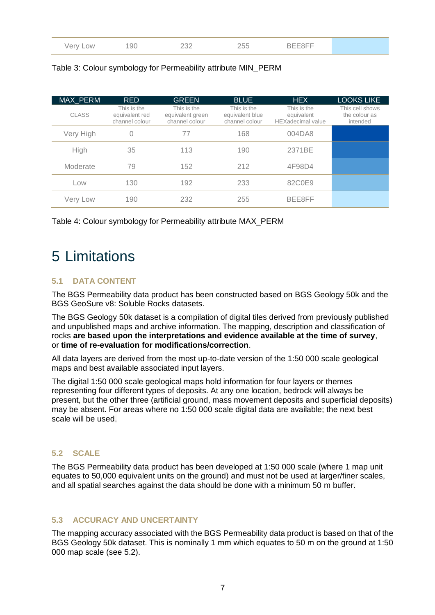<span id="page-14-0"></span>

| MAX PERM  | <b>RED</b>                                      | <b>GREEN</b>                                      | <b>BLUE</b>                                      | <b>HEX</b>                                            | <b>LOOKS LIKE</b>                            |
|-----------|-------------------------------------------------|---------------------------------------------------|--------------------------------------------------|-------------------------------------------------------|----------------------------------------------|
| CLASS     | This is the<br>equivalent red<br>channel colour | This is the<br>equivalent green<br>channel colour | This is the<br>equivalent blue<br>channel colour | This is the<br>equivalent<br><b>HEXadecimal value</b> | This cell shows<br>the colour as<br>intended |
| Very High | 0                                               | 77                                                | 168                                              | 004DA8                                                |                                              |
| High      | 35                                              | 113                                               | 190                                              | 2371BE                                                |                                              |
| Moderate  | 79                                              | 152                                               | 212                                              | 4F98D4                                                |                                              |
| Low       | 130                                             | 192                                               | 233                                              | 82C0E9                                                |                                              |
| Very Low  | 190                                             | 232                                               | 255                                              | BEE8FF                                                |                                              |

#### Table 3: Colour symbology for Permeability attribute MIN\_PERM

Table 4: Colour symbology for Permeability attribute MAX\_PERM

### 5 Limitations

### **5.1 DATA CONTENT**

The BGS Permeability data product has been constructed based on BGS Geology 50k and the BGS GeoSure v8: Soluble Rocks datasets.

The BGS Geology 50k dataset is a compilation of digital tiles derived from previously published and unpublished maps and archive information. The mapping, description and classification of rocks **are based upon the interpretations and evidence available at the time of survey**, or **time of re-evaluation for modifications/correction**.

All data layers are derived from the most up-to-date version of the 1:50 000 scale geological maps and best available associated input layers.

The digital 1:50 000 scale geological maps hold information for four layers or themes representing four different types of deposits. At any one location, bedrock will always be present, but the other three (artificial ground, mass movement deposits and superficial deposits) may be absent. For areas where no 1:50 000 scale digital data are available; the next best scale will be used.

#### <span id="page-14-1"></span>**5.2 SCALE**

The BGS Permeability data product has been developed at 1:50 000 scale (where 1 map unit equates to 50,000 equivalent units on the ground) and must not be used at larger/finer scales, and all spatial searches against the data should be done with a minimum 50 m buffer.

#### **5.3 ACCURACY AND UNCERTAINTY**

The mapping accuracy associated with the BGS Permeability data product is based on that of the BGS Geology 50k dataset. This is nominally 1 mm which equates to 50 m on the ground at 1:50 000 map scale (see [5.2\)](#page-14-1).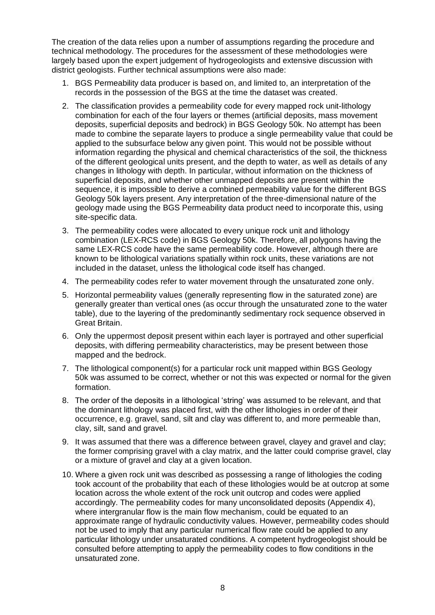The creation of the data relies upon a number of assumptions regarding the procedure and technical methodology. The procedures for the assessment of these methodologies were largely based upon the expert judgement of hydrogeologists and extensive discussion with district geologists. Further technical assumptions were also made:

- 1. BGS Permeability data producer is based on, and limited to, an interpretation of the records in the possession of the BGS at the time the dataset was created.
- 2. The classification provides a permeability code for every mapped rock unit-lithology combination for each of the four layers or themes (artificial deposits, mass movement deposits, superficial deposits and bedrock) in BGS Geology 50k. No attempt has been made to combine the separate layers to produce a single permeability value that could be applied to the subsurface below any given point. This would not be possible without information regarding the physical and chemical characteristics of the soil, the thickness of the different geological units present, and the depth to water, as well as details of any changes in lithology with depth. In particular, without information on the thickness of superficial deposits, and whether other unmapped deposits are present within the sequence, it is impossible to derive a combined permeability value for the different BGS Geology 50k layers present. Any interpretation of the three-dimensional nature of the geology made using the BGS Permeability data product need to incorporate this, using site-specific data.
- 3. The permeability codes were allocated to every unique rock unit and lithology combination (LEX-RCS code) in BGS Geology 50k. Therefore, all polygons having the same LEX-RCS code have the same permeability code. However, although there are known to be lithological variations spatially within rock units, these variations are not included in the dataset, unless the lithological code itself has changed.
- 4. The permeability codes refer to water movement through the unsaturated zone only.
- 5. Horizontal permeability values (generally representing flow in the saturated zone) are generally greater than vertical ones (as occur through the unsaturated zone to the water table), due to the layering of the predominantly sedimentary rock sequence observed in Great Britain.
- 6. Only the uppermost deposit present within each layer is portrayed and other superficial deposits, with differing permeability characteristics, may be present between those mapped and the bedrock.
- 7. The lithological component(s) for a particular rock unit mapped within BGS Geology 50k was assumed to be correct, whether or not this was expected or normal for the given formation.
- 8. The order of the deposits in a lithological 'string' was assumed to be relevant, and that the dominant lithology was placed first, with the other lithologies in order of their occurrence, e.g. gravel, sand, silt and clay was different to, and more permeable than, clay, silt, sand and gravel.
- 9. It was assumed that there was a difference between gravel, clayey and gravel and clay; the former comprising gravel with a clay matrix, and the latter could comprise gravel, clay or a mixture of gravel and clay at a given location.
- 10. Where a given rock unit was described as possessing a range of lithologies the coding took account of the probability that each of these lithologies would be at outcrop at some location across the whole extent of the rock unit outcrop and codes were applied accordingly. The permeability codes for many unconsolidated deposits (Appendix 4), where intergranular flow is the main flow mechanism, could be equated to an approximate range of hydraulic conductivity values. However, permeability codes should not be used to imply that any particular numerical flow rate could be applied to any particular lithology under unsaturated conditions. A competent hydrogeologist should be consulted before attempting to apply the permeability codes to flow conditions in the unsaturated zone.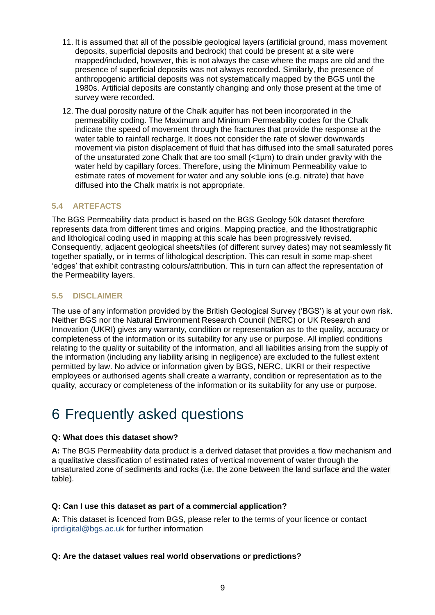- 11. It is assumed that all of the possible geological layers (artificial ground, mass movement deposits, superficial deposits and bedrock) that could be present at a site were mapped/included, however, this is not always the case where the maps are old and the presence of superficial deposits was not always recorded. Similarly, the presence of anthropogenic artificial deposits was not systematically mapped by the BGS until the 1980s. Artificial deposits are constantly changing and only those present at the time of survey were recorded.
- 12. The dual porosity nature of the Chalk aquifer has not been incorporated in the permeability coding. The Maximum and Minimum Permeability codes for the Chalk indicate the speed of movement through the fractures that provide the response at the water table to rainfall recharge. It does not consider the rate of slower downwards movement via piston displacement of fluid that has diffused into the small saturated pores of the unsaturated zone Chalk that are too small (<1µm) to drain under gravity with the water held by capillary forces. Therefore, using the Minimum Permeability value to estimate rates of movement for water and any soluble ions (e.g. nitrate) that have diffused into the Chalk matrix is not appropriate.

#### **5.4 ARTEFACTS**

The BGS Permeability data product is based on the BGS Geology 50k dataset therefore represents data from different times and origins. Mapping practice, and the lithostratigraphic and lithological coding used in mapping at this scale has been progressively revised. Consequently, adjacent geological sheets/tiles (of different survey dates) may not seamlessly fit together spatially, or in terms of lithological description. This can result in some map-sheet 'edges' that exhibit contrasting colours/attribution. This in turn can affect the representation of the Permeability layers.

#### **5.5 DISCLAIMER**

The use of any information provided by the British Geological Survey ('BGS') is at your own risk. Neither BGS nor the Natural Environment Research Council (NERC) or UK Research and Innovation (UKRI) gives any warranty, condition or representation as to the quality, accuracy or completeness of the information or its suitability for any use or purpose. All implied conditions relating to the quality or suitability of the information, and all liabilities arising from the supply of the information (including any liability arising in negligence) are excluded to the fullest extent permitted by law. No advice or information given by BGS, NERC, UKRI or their respective employees or authorised agents shall create a warranty, condition or representation as to the quality, accuracy or completeness of the information or its suitability for any use or purpose.

### 6 Frequently asked questions

#### **Q: What does this dataset show?**

**A:** The BGS Permeability data product is a derived dataset that provides a flow mechanism and a qualitative classification of estimated rates of vertical movement of water through the unsaturated zone of sediments and rocks (i.e. the zone between the land surface and the water table).

#### **Q: Can I use this dataset as part of a commercial application?**

**A:** This dataset is licenced from BGS, please refer to the terms of your licence or contact [iprdigital@bgs.ac.uk](mailto:iprdigital@bgs.ac.uk) for further information

#### **Q: Are the dataset values real world observations or predictions?**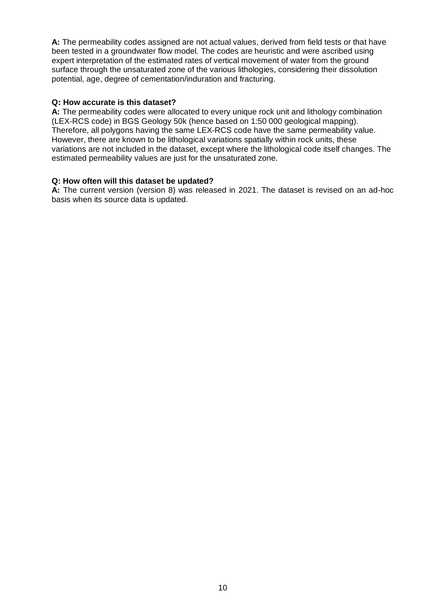**A:** The permeability codes assigned are not actual values, derived from field tests or that have been tested in a groundwater flow model. The codes are heuristic and were ascribed using expert interpretation of the estimated rates of vertical movement of water from the ground surface through the unsaturated zone of the various lithologies, considering their dissolution potential, age, degree of cementation/induration and fracturing.

#### **Q: How accurate is this dataset?**

**A:** The permeability codes were allocated to every unique rock unit and lithology combination (LEX-RCS code) in BGS Geology 50k (hence based on 1:50 000 geological mapping). Therefore, all polygons having the same LEX-RCS code have the same permeability value. However, there are known to be lithological variations spatially within rock units, these variations are not included in the dataset, except where the lithological code itself changes. The estimated permeability values are just for the unsaturated zone.

#### **Q: How often will this dataset be updated?**

**A:** The current version (version 8) was released in 2021. The dataset is revised on an ad-hoc basis when its source data is updated.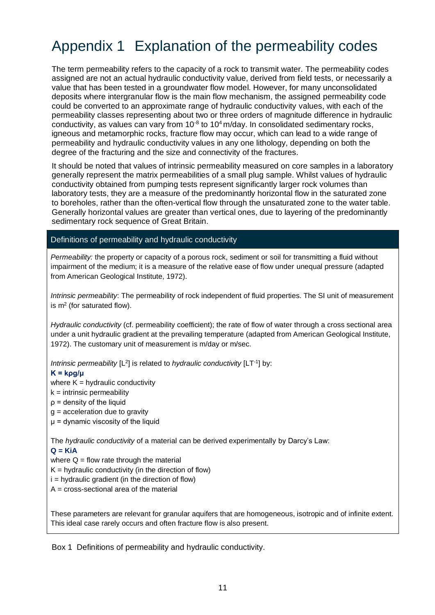# Appendix 1 Explanation of the permeability codes

The term permeability refers to the capacity of a rock to transmit water. The permeability codes assigned are not an actual hydraulic conductivity value, derived from field tests, or necessarily a value that has been tested in a groundwater flow model. However, for many unconsolidated deposits where intergranular flow is the main flow mechanism, the assigned permeability code could be converted to an approximate range of hydraulic conductivity values, with each of the permeability classes representing about two or three orders of magnitude difference in hydraulic conductivity, as values can vary from  $10^{-8}$  to  $10^4$  m/day. In consolidated sedimentary rocks, igneous and metamorphic rocks, fracture flow may occur, which can lead to a wide range of permeability and hydraulic conductivity values in any one lithology, depending on both the degree of the fracturing and the size and connectivity of the fractures.

It should be noted that values of intrinsic permeability measured on core samples in a laboratory generally represent the matrix permeabilities of a small plug sample. Whilst values of hydraulic conductivity obtained from pumping tests represent significantly larger rock volumes than laboratory tests, they are a measure of the predominantly horizontal flow in the saturated zone to boreholes, rather than the often-vertical flow through the unsaturated zone to the water table. Generally horizontal values are greater than vertical ones, due to layering of the predominantly sedimentary rock sequence of Great Britain.

#### Definitions of permeability and hydraulic conductivity

*Permeability:* the property or capacity of a porous rock, sediment or soil for transmitting a fluid without impairment of the medium; it is a measure of the relative ease of flow under unequal pressure (adapted from American Geological Institute, 1972).

*Intrinsic permeability*: The permeability of rock independent of fluid properties. The SI unit of measurement is  $m<sup>2</sup>$  (for saturated flow).

*Hydraulic conductivity* (cf. permeability coefficient); the rate of flow of water through a cross sectional area under a unit hydraulic gradient at the prevailing temperature (adapted from American Geological Institute, 1972). The customary unit of measurement is m/day or m/sec.

Intrinsic permeability [L<sup>2</sup>] is related to *hydraulic conductivity* [LT<sup>-1</sup>] by:

#### **K = kρg/μ**

where  $K = hydr$ aulic conductivity

 $k =$  intrinsic permeability

 $p =$  density of the liquid

 $g =$  acceleration due to gravity

μ = dynamic viscosity of the liquid

The *hydraulic conductivity* of a material can be derived experimentally by Darcy's Law: **Q = KiA** 

where  $Q =$  flow rate through the material

 $K =$  hydraulic conductivity (in the direction of flow)

 $i =$  hydraulic gradient (in the direction of flow)

A = cross-sectional area of the material

These parameters are relevant for granular aquifers that are homogeneous, isotropic and of infinite extent. This ideal case rarely occurs and often fracture flow is also present.

Box 1 Definitions of permeability and hydraulic conductivity.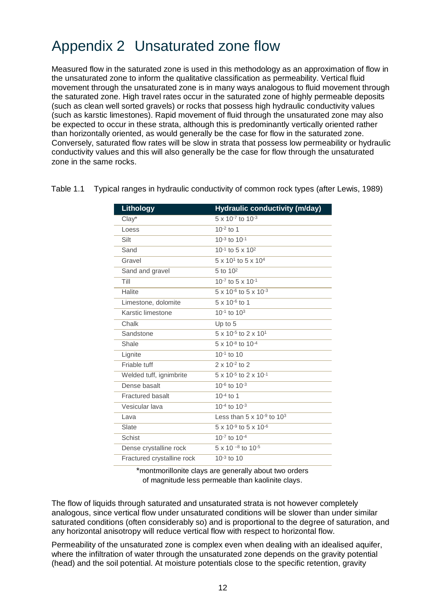# Appendix 2 Unsaturated zone flow

Measured flow in the saturated zone is used in this methodology as an approximation of flow in the unsaturated zone to inform the qualitative classification as permeability. Vertical fluid movement through the unsaturated zone is in many ways analogous to fluid movement through the saturated zone. High travel rates occur in the saturated zone of highly permeable deposits (such as clean well sorted gravels) or rocks that possess high hydraulic conductivity values (such as karstic limestones). Rapid movement of fluid through the unsaturated zone may also be expected to occur in these strata, although this is predominantly vertically oriented rather than horizontally oriented, as would generally be the case for flow in the saturated zone. Conversely, saturated flow rates will be slow in strata that possess low permeability or hydraulic conductivity values and this will also generally be the case for flow through the unsaturated zone in the same rocks.

| <b>Lithology</b>           | Hydraulic conductivity (m/day)               |
|----------------------------|----------------------------------------------|
| $Clay^*$                   | 5 x 10-7 to 10-3                             |
| Loess                      | $10^{-2}$ to 1                               |
| Silt                       | $10^{-3}$ to $10^{-1}$                       |
| Sand                       | 10-1 to 5 x 10 <sup>2</sup>                  |
| Gravel                     | 5 x 10 <sup>1</sup> to 5 x 10 <sup>4</sup>   |
| Sand and gravel            | 5 to 10 <sup>2</sup>                         |
| Till                       | 10 $-7$ to 5 x 10 $-1$                       |
| Halite                     | 5 x 10 <sup>-6</sup> to 5 x 10 <sup>-3</sup> |
| Limestone, dolomite        | $\frac{1}{5}$ x 10 <sup>-6</sup> to 1        |
| Karstic limestone          | $10^{-1}$ to $10^{3}$                        |
| Chalk                      | Up to 5                                      |
| Sandstone                  | 5 x 10 <sup>-5</sup> to 2 x 10 <sup>1</sup>  |
| Shale                      | 5 x 10 <sup>-8</sup> to 10 <sup>-4</sup>     |
| Lignite                    | $10^{-1}$ to 10                              |
| Friable tuff               | $2 \times 10^{-2}$ to 2                      |
| Welded tuff, ignimbrite    | $5 \times 10^{-5}$ to $2 \times 10^{-1}$     |
| Dense basalt               | 10-6 to 10-3                                 |
| <b>Fractured basalt</b>    | $10^{-4}$ to 1                               |
| Vesicular lava             | $10^{-4}$ to $10^{-3}$                       |
| Lava                       | Less than $5 \times 10^{-9}$ to $10^3$       |
| Slate                      | $5 \times 10^{-9}$ to $5 \times 10^{-6}$     |
| <b>Schist</b>              | 10-7 to 10-4                                 |
| Dense crystalline rock     | $5 \times 10^{-8}$ to $10^{-5}$              |
| Fractured crystalline rock | $10^{-3}$ to 10                              |

Table 1.1 Typical ranges in hydraulic conductivity of common rock types (after Lewis, 1989)

\*montmorillonite clays are generally about two orders of magnitude less permeable than kaolinite clays.

The flow of liquids through saturated and unsaturated strata is not however completely analogous, since vertical flow under unsaturated conditions will be slower than under similar saturated conditions (often considerably so) and is proportional to the degree of saturation, and any horizontal anisotropy will reduce vertical flow with respect to horizontal flow.

Permeability of the unsaturated zone is complex even when dealing with an idealised aquifer, where the infiltration of water through the unsaturated zone depends on the gravity potential (head) and the soil potential. At moisture potentials close to the specific retention, gravity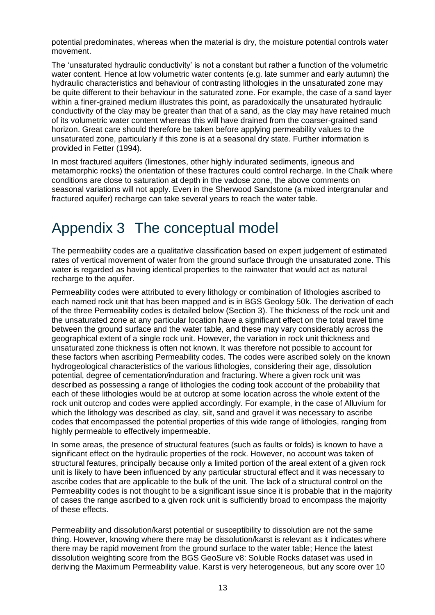potential predominates, whereas when the material is dry, the moisture potential controls water movement.

The 'unsaturated hydraulic conductivity' is not a constant but rather a function of the volumetric water content. Hence at low volumetric water contents (e.g. late summer and early autumn) the hydraulic characteristics and behaviour of contrasting lithologies in the unsaturated zone may be quite different to their behaviour in the saturated zone. For example, the case of a sand layer within a finer-grained medium illustrates this point, as paradoxically the unsaturated hydraulic conductivity of the clay may be greater than that of a sand, as the clay may have retained much of its volumetric water content whereas this will have drained from the coarser-grained sand horizon. Great care should therefore be taken before applying permeability values to the unsaturated zone, particularly if this zone is at a seasonal dry state. Further information is provided in Fetter (1994).

In most fractured aquifers (limestones, other highly indurated sediments, igneous and metamorphic rocks) the orientation of these fractures could control recharge. In the Chalk where conditions are close to saturation at depth in the vadose zone, the above comments on seasonal variations will not apply. Even in the Sherwood Sandstone (a mixed intergranular and fractured aquifer) recharge can take several years to reach the water table.

### Appendix 3 The conceptual model

The permeability codes are a qualitative classification based on expert judgement of estimated rates of vertical movement of water from the ground surface through the unsaturated zone. This water is regarded as having identical properties to the rainwater that would act as natural recharge to the aquifer.

Permeability codes were attributed to every lithology or combination of lithologies ascribed to each named rock unit that has been mapped and is in BGS Geology 50k. The derivation of each of the three Permeability codes is detailed below (Section [3\)](#page-10-0). The thickness of the rock unit and the unsaturated zone at any particular location have a significant effect on the total travel time between the ground surface and the water table, and these may vary considerably across the geographical extent of a single rock unit. However, the variation in rock unit thickness and unsaturated zone thickness is often not known. It was therefore not possible to account for these factors when ascribing Permeability codes. The codes were ascribed solely on the known hydrogeological characteristics of the various lithologies, considering their age, dissolution potential, degree of cementation/induration and fracturing. Where a given rock unit was described as possessing a range of lithologies the coding took account of the probability that each of these lithologies would be at outcrop at some location across the whole extent of the rock unit outcrop and codes were applied accordingly. For example, in the case of Alluvium for which the lithology was described as clay, silt, sand and gravel it was necessary to ascribe codes that encompassed the potential properties of this wide range of lithologies, ranging from highly permeable to effectively impermeable.

In some areas, the presence of structural features (such as faults or folds) is known to have a significant effect on the hydraulic properties of the rock. However, no account was taken of structural features, principally because only a limited portion of the areal extent of a given rock unit is likely to have been influenced by any particular structural effect and it was necessary to ascribe codes that are applicable to the bulk of the unit. The lack of a structural control on the Permeability codes is not thought to be a significant issue since it is probable that in the majority of cases the range ascribed to a given rock unit is sufficiently broad to encompass the majority of these effects.

Permeability and dissolution/karst potential or susceptibility to dissolution are not the same thing. However, knowing where there may be dissolution/karst is relevant as it indicates where there may be rapid movement from the ground surface to the water table; Hence the latest dissolution weighting score from the BGS GeoSure v8: Soluble Rocks dataset was used in deriving the Maximum Permeability value. Karst is very heterogeneous, but any score over 10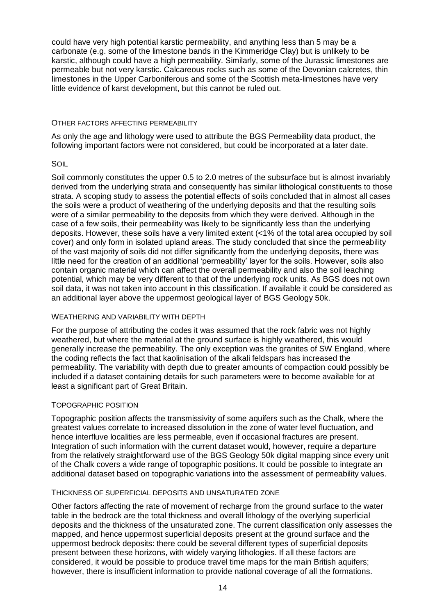could have very high potential karstic permeability, and anything less than 5 may be a carbonate (e.g. some of the limestone bands in the Kimmeridge Clay) but is unlikely to be karstic, although could have a high permeability. Similarly, some of the Jurassic limestones are permeable but not very karstic. Calcareous rocks such as some of the Devonian calcretes, thin limestones in the Upper Carboniferous and some of the Scottish meta-limestones have very little evidence of karst development, but this cannot be ruled out.

#### OTHER FACTORS AFFECTING PERMEABILITY

As only the age and lithology were used to attribute the BGS Permeability data product, the following important factors were not considered, but could be incorporated at a later date.

#### SOIL

Soil commonly constitutes the upper 0.5 to 2.0 metres of the subsurface but is almost invariably derived from the underlying strata and consequently has similar lithological constituents to those strata. A scoping study to assess the potential effects of soils concluded that in almost all cases the soils were a product of weathering of the underlying deposits and that the resulting soils were of a similar permeability to the deposits from which they were derived. Although in the case of a few soils, their permeability was likely to be significantly less than the underlying deposits. However, these soils have a very limited extent (<1% of the total area occupied by soil cover) and only form in isolated upland areas. The study concluded that since the permeability of the vast majority of soils did not differ significantly from the underlying deposits, there was little need for the creation of an additional 'permeability' layer for the soils. However, soils also contain organic material which can affect the overall permeability and also the soil leaching potential, which may be very different to that of the underlying rock units. As BGS does not own soil data, it was not taken into account in this classification. If available it could be considered as an additional layer above the uppermost geological layer of BGS Geology 50k.

#### WEATHERING AND VARIABILITY WITH DEPTH

For the purpose of attributing the codes it was assumed that the rock fabric was not highly weathered, but where the material at the ground surface is highly weathered, this would generally increase the permeability. The only exception was the granites of SW England, where the coding reflects the fact that kaolinisation of the alkali feldspars has increased the permeability. The variability with depth due to greater amounts of compaction could possibly be included if a dataset containing details for such parameters were to become available for at least a significant part of Great Britain.

#### TOPOGRAPHIC POSITION

Topographic position affects the transmissivity of some aquifers such as the Chalk, where the greatest values correlate to increased dissolution in the zone of water level fluctuation, and hence interfluve localities are less permeable, even if occasional fractures are present. Integration of such information with the current dataset would, however, require a departure from the relatively straightforward use of the BGS Geology 50k digital mapping since every unit of the Chalk covers a wide range of topographic positions. It could be possible to integrate an additional dataset based on topographic variations into the assessment of permeability values.

#### THICKNESS OF SUPERFICIAL DEPOSITS AND UNSATURATED ZONE

Other factors affecting the rate of movement of recharge from the ground surface to the water table in the bedrock are the total thickness and overall lithology of the overlying superficial deposits and the thickness of the unsaturated zone. The current classification only assesses the mapped, and hence uppermost superficial deposits present at the ground surface and the uppermost bedrock deposits: there could be several different types of superficial deposits present between these horizons, with widely varying lithologies. If all these factors are considered, it would be possible to produce travel time maps for the main British aquifers; however, there is insufficient information to provide national coverage of all the formations.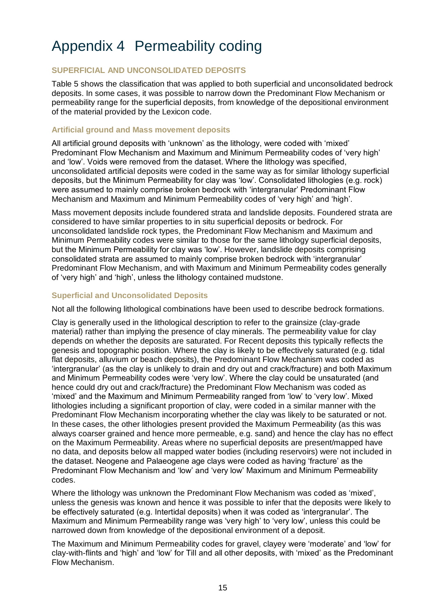# Appendix 4 Permeability coding

#### **SUPERFICIAL AND UNCONSOLIDATED DEPOSITS**

[Table 5](#page-23-0) shows the classification that was applied to both superficial and unconsolidated bedrock deposits. In some cases, it was possible to narrow down the Predominant Flow Mechanism or permeability range for the superficial deposits, from knowledge of the depositional environment of the material provided by the Lexicon code.

#### **Artificial ground and Mass movement deposits**

All artificial ground deposits with 'unknown' as the lithology, were coded with 'mixed' Predominant Flow Mechanism and Maximum and Minimum Permeability codes of 'very high' and 'low'. Voids were removed from the dataset. Where the lithology was specified, unconsolidated artificial deposits were coded in the same way as for similar lithology superficial deposits, but the Minimum Permeability for clay was 'low'. Consolidated lithologies (e.g. rock) were assumed to mainly comprise broken bedrock with 'intergranular' Predominant Flow Mechanism and Maximum and Minimum Permeability codes of 'very high' and 'high'.

Mass movement deposits include foundered strata and landslide deposits. Foundered strata are considered to have similar properties to in situ superficial deposits or bedrock. For unconsolidated landslide rock types, the Predominant Flow Mechanism and Maximum and Minimum Permeability codes were similar to those for the same lithology superficial deposits, but the Minimum Permeability for clay was 'low'. However, landslide deposits comprising consolidated strata are assumed to mainly comprise broken bedrock with 'intergranular' Predominant Flow Mechanism, and with Maximum and Minimum Permeability codes generally of 'very high' and 'high', unless the lithology contained mudstone.

#### **Superficial and Unconsolidated Deposits**

Not all the following lithological combinations have been used to describe bedrock formations.

Clay is generally used in the lithological description to refer to the grainsize (clay-grade material) rather than implying the presence of clay minerals. The permeability value for clay depends on whether the deposits are saturated. For Recent deposits this typically reflects the genesis and topographic position. Where the clay is likely to be effectively saturated (e.g. tidal flat deposits, alluvium or beach deposits), the Predominant Flow Mechanism was coded as 'intergranular' (as the clay is unlikely to drain and dry out and crack/fracture) and both Maximum and Minimum Permeability codes were 'very low'. Where the clay could be unsaturated (and hence could dry out and crack/fracture) the Predominant Flow Mechanism was coded as 'mixed' and the Maximum and Minimum Permeability ranged from 'low' to 'very low'. Mixed lithologies including a significant proportion of clay, were coded in a similar manner with the Predominant Flow Mechanism incorporating whether the clay was likely to be saturated or not. In these cases, the other lithologies present provided the Maximum Permeability (as this was always coarser grained and hence more permeable, e.g. sand) and hence the clay has no effect on the Maximum Permeability. Areas where no superficial deposits are present/mapped have no data, and deposits below all mapped water bodies (including reservoirs) were not included in the dataset. Neogene and Palaeogene age clays were coded as having 'fracture' as the Predominant Flow Mechanism and 'low' and 'very low' Maximum and Minimum Permeability codes.

Where the lithology was unknown the Predominant Flow Mechanism was coded as 'mixed', unless the genesis was known and hence it was possible to infer that the deposits were likely to be effectively saturated (e.g. Intertidal deposits) when it was coded as 'intergranular'. The Maximum and Minimum Permeability range was 'very high' to 'very low', unless this could be narrowed down from knowledge of the depositional environment of a deposit.

The Maximum and Minimum Permeability codes for gravel, clayey were 'moderate' and 'low' for clay-with-flints and 'high' and 'low' for Till and all other deposits, with 'mixed' as the Predominant Flow Mechanism.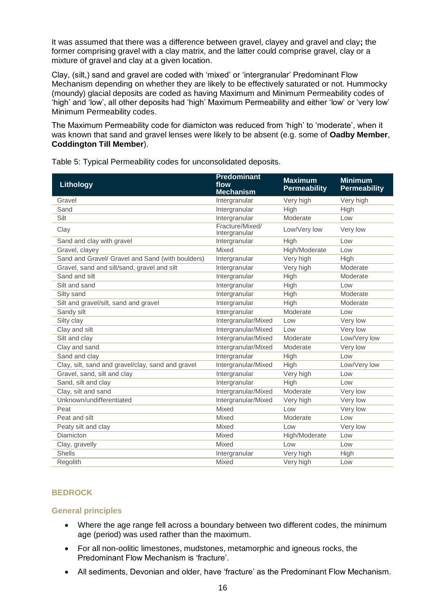It was assumed that there was a difference between gravel, clayey and gravel and clay**;** the former comprising gravel with a clay matrix, and the latter could comprise gravel, clay or a mixture of gravel and clay at a given location.

Clay, (silt,) sand and gravel are coded with 'mixed' or 'intergranular' Predominant Flow Mechanism depending on whether they are likely to be effectively saturated or not. Hummocky (moundy) glacial deposits are coded as having Maximum and Minimum Permeability codes of 'high' and 'low', all other deposits had 'high' Maximum Permeability and either 'low' or 'very low' Minimum Permeability codes.

The Maximum Permeability code for diamicton was reduced from 'high' to 'moderate', when it was known that sand and gravel lenses were likely to be absent (e.g. some of **Oadby Member**, **Coddington Till Member**).

| Lithology                                         | <b>Predominant</b><br>flow<br><b>Mechanism</b> | <b>Maximum</b><br><b>Permeability</b> | <b>Minimum</b><br><b>Permeability</b> |
|---------------------------------------------------|------------------------------------------------|---------------------------------------|---------------------------------------|
| Gravel                                            | Intergranular                                  | Very high                             | Very high                             |
| Sand                                              | Intergranular                                  | High                                  | High                                  |
| Silt                                              | Intergranular                                  | Moderate                              | Low                                   |
| Clay                                              | Fracture/Mixed/<br>Intergranular               | Low/Very low                          | Very low                              |
| Sand and clay with gravel                         | Intergranular                                  | High                                  | Low                                   |
| Gravel, clayey                                    | Mixed                                          | High/Moderate                         | Low                                   |
| Sand and Gravel/ Gravel and Sand (with boulders)  | Intergranular                                  | Very high                             | High                                  |
| Gravel, sand and silt/sand, gravel and silt       | Intergranular                                  | Very high                             | Moderate                              |
| Sand and silt                                     | Intergranular                                  | High                                  | Moderate                              |
| Silt and sand                                     | Intergranular                                  | <b>High</b>                           | Low                                   |
| Silty sand                                        | Intergranular                                  | High                                  | Moderate                              |
| Silt and gravel/silt, sand and gravel             | Intergranular                                  | High                                  | Moderate                              |
| Sandy silt                                        | Intergranular                                  | Moderate                              | Low                                   |
| Silty clay                                        | Intergranular/Mixed                            | Low                                   | Very low                              |
| Clay and silt                                     | Intergranular/Mixed                            | Low                                   | Very low                              |
| Silt and clay                                     | Intergranular/Mixed                            | Moderate                              | Low/Very low                          |
| Clay and sand                                     | Intergranular/Mixed                            | Moderate                              | Very low                              |
| Sand and clay                                     | Intergranular                                  | High                                  | Low                                   |
| Clay, silt, sand and gravel/clay, sand and gravel | Intergranular/Mixed                            | High                                  | Low/Very low                          |
| Gravel, sand, silt and clay                       | Intergranular                                  | Very high                             | Low                                   |
| Sand, silt and clay                               | Intergranular                                  | High                                  | Low                                   |
| Clay, silt and sand                               | Intergranular/Mixed                            | Moderate                              | Very low                              |
| Unknown/undifferentiated                          | Intergranular/Mixed                            | Very high                             | Very low                              |
| Peat                                              | Mixed                                          | Low                                   | Very low                              |
| Peat and silt                                     | Mixed                                          | Moderate                              | Low                                   |
| Peaty silt and clay                               | Mixed                                          | Low                                   | Very low                              |
| Diamicton                                         | Mixed                                          | High/Moderate                         | Low                                   |
| Clay, gravelly                                    | Mixed                                          | Low                                   | Low                                   |
| <b>Shells</b>                                     | Intergranular                                  | Very high                             | High                                  |
| Regolith                                          | Mixed                                          | Very high                             | Low                                   |

<span id="page-23-0"></span>Table 5: Typical Permeability codes for unconsolidated deposits.

### **BEDROCK**

#### **General principles**

- Where the age range fell across a boundary between two different codes, the minimum age (period) was used rather than the maximum.
- For all non-oolitic limestones, mudstones, metamorphic and igneous rocks, the Predominant Flow Mechanism is 'fracture'.
- All sediments, Devonian and older, have 'fracture' as the Predominant Flow Mechanism.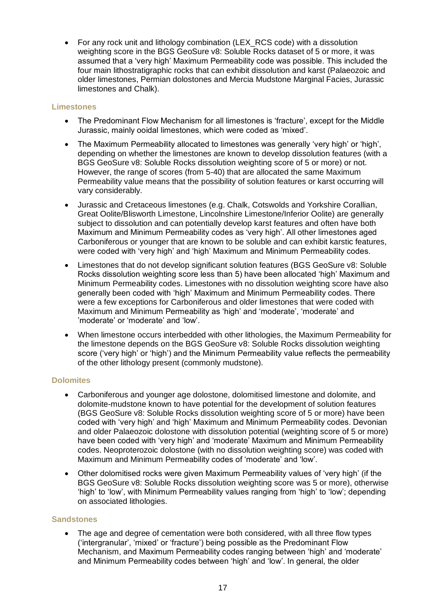• For any rock unit and lithology combination (LEX\_RCS code) with a dissolution weighting score in the BGS GeoSure v8: Soluble Rocks dataset of 5 or more, it was assumed that a 'very high' Maximum Permeability code was possible. This included the four main lithostratigraphic rocks that can exhibit dissolution and karst (Palaeozoic and older limestones, Permian dolostones and Mercia Mudstone Marginal Facies, Jurassic limestones and Chalk).

#### **Limestones**

- The Predominant Flow Mechanism for all limestones is 'fracture', except for the Middle Jurassic, mainly ooidal limestones, which were coded as 'mixed'.
- The Maximum Permeability allocated to limestones was generally 'very high' or 'high', depending on whether the limestones are known to develop dissolution features (with a BGS GeoSure v8: Soluble Rocks dissolution weighting score of 5 or more) or not. However, the range of scores (from 5-40) that are allocated the same Maximum Permeability value means that the possibility of solution features or karst occurring will vary considerably.
- Jurassic and Cretaceous limestones (e.g. Chalk, Cotswolds and Yorkshire Corallian, Great Oolite/Blisworth Limestone, Lincolnshire Limestone/Inferior Oolite) are generally subject to dissolution and can potentially develop karst features and often have both Maximum and Minimum Permeability codes as 'very high'. All other limestones aged Carboniferous or younger that are known to be soluble and can exhibit karstic features, were coded with 'very high' and 'high' Maximum and Minimum Permeability codes.
- Limestones that do not develop significant solution features (BGS GeoSure v8: Soluble Rocks dissolution weighting score less than 5) have been allocated 'high' Maximum and Minimum Permeability codes. Limestones with no dissolution weighting score have also generally been coded with 'high' Maximum and Minimum Permeability codes. There were a few exceptions for Carboniferous and older limestones that were coded with Maximum and Minimum Permeability as 'high' and 'moderate', 'moderate' and 'moderate' or 'moderate' and 'low'.
- When limestone occurs interbedded with other lithologies, the Maximum Permeability for the limestone depends on the BGS GeoSure v8: Soluble Rocks dissolution weighting score ('very high' or 'high') and the Minimum Permeability value reflects the permeability of the other lithology present (commonly mudstone).

#### **Dolomites**

- Carboniferous and younger age dolostone, dolomitised limestone and dolomite, and dolomite-mudstone known to have potential for the development of solution features (BGS GeoSure v8: Soluble Rocks dissolution weighting score of 5 or more) have been coded with 'very high' and 'high' Maximum and Minimum Permeability codes. Devonian and older Palaeozoic dolostone with dissolution potential (weighting score of 5 or more) have been coded with 'very high' and 'moderate' Maximum and Minimum Permeability codes. Neoproterozoic dolostone (with no dissolution weighting score) was coded with Maximum and Minimum Permeability codes of 'moderate' and 'low'.
- Other dolomitised rocks were given Maximum Permeability values of 'very high' (if the BGS GeoSure v8: Soluble Rocks dissolution weighting score was 5 or more), otherwise 'high' to 'low', with Minimum Permeability values ranging from 'high' to 'low'; depending on associated lithologies.

#### **Sandstones**

The age and degree of cementation were both considered, with all three flow types ('intergranular', 'mixed' or 'fracture') being possible as the Predominant Flow Mechanism, and Maximum Permeability codes ranging between 'high' and 'moderate' and Minimum Permeability codes between 'high' and 'low'. In general, the older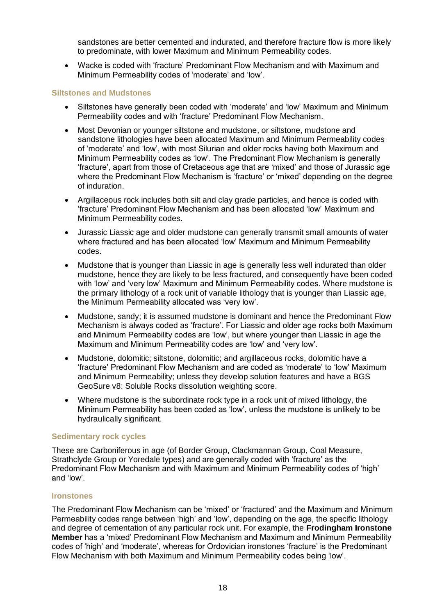sandstones are better cemented and indurated, and therefore fracture flow is more likely to predominate, with lower Maximum and Minimum Permeability codes.

• Wacke is coded with 'fracture' Predominant Flow Mechanism and with Maximum and Minimum Permeability codes of 'moderate' and 'low'.

#### **Siltstones and Mudstones**

- Siltstones have generally been coded with 'moderate' and 'low' Maximum and Minimum Permeability codes and with 'fracture' Predominant Flow Mechanism.
- Most Devonian or younger siltstone and mudstone, or siltstone, mudstone and sandstone lithologies have been allocated Maximum and Minimum Permeability codes of 'moderate' and 'low', with most Silurian and older rocks having both Maximum and Minimum Permeability codes as 'low'. The Predominant Flow Mechanism is generally 'fracture', apart from those of Cretaceous age that are 'mixed' and those of Jurassic age where the Predominant Flow Mechanism is 'fracture' or 'mixed' depending on the degree of induration.
- Argillaceous rock includes both silt and clay grade particles, and hence is coded with 'fracture' Predominant Flow Mechanism and has been allocated 'low' Maximum and Minimum Permeability codes.
- Jurassic Liassic age and older mudstone can generally transmit small amounts of water where fractured and has been allocated 'low' Maximum and Minimum Permeability codes.
- Mudstone that is younger than Liassic in age is generally less well indurated than older mudstone, hence they are likely to be less fractured, and consequently have been coded with 'low' and 'very low' Maximum and Minimum Permeability codes. Where mudstone is the primary lithology of a rock unit of variable lithology that is younger than Liassic age, the Minimum Permeability allocated was 'very low'.
- Mudstone, sandy; it is assumed mudstone is dominant and hence the Predominant Flow Mechanism is always coded as 'fracture'. For Liassic and older age rocks both Maximum and Minimum Permeability codes are 'low', but where younger than Liassic in age the Maximum and Minimum Permeability codes are 'low' and 'very low'.
- Mudstone, dolomitic; siltstone, dolomitic; and argillaceous rocks, dolomitic have a 'fracture' Predominant Flow Mechanism and are coded as 'moderate' to 'low' Maximum and Minimum Permeability; unless they develop solution features and have a BGS GeoSure v8: Soluble Rocks dissolution weighting score.
- Where mudstone is the subordinate rock type in a rock unit of mixed lithology, the Minimum Permeability has been coded as 'low', unless the mudstone is unlikely to be hydraulically significant.

#### **Sedimentary rock cycles**

These are Carboniferous in age (of Border Group, Clackmannan Group, Coal Measure, Strathclyde Group or Yoredale types) and are generally coded with 'fracture' as the Predominant Flow Mechanism and with Maximum and Minimum Permeability codes of 'high' and 'low'.

#### **Ironstones**

The Predominant Flow Mechanism can be 'mixed' or 'fractured' and the Maximum and Minimum Permeability codes range between 'high' and 'low', depending on the age, the specific lithology and degree of cementation of any particular rock unit. For example, the **Frodingham Ironstone Member** has a 'mixed' Predominant Flow Mechanism and Maximum and Minimum Permeability codes of 'high' and 'moderate', whereas for Ordovician ironstones 'fracture' is the Predominant Flow Mechanism with both Maximum and Minimum Permeability codes being 'low'.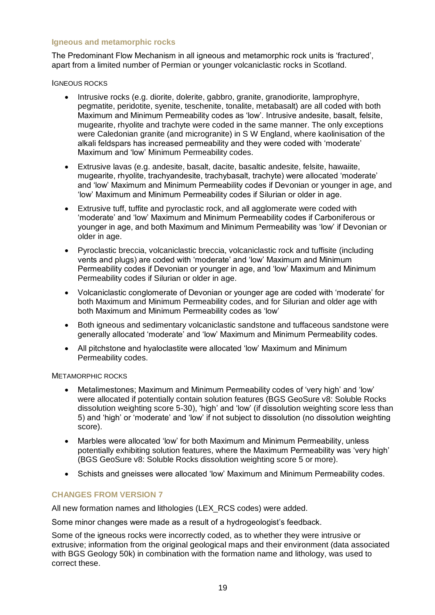#### **Igneous and metamorphic rocks**

The Predominant Flow Mechanism in all igneous and metamorphic rock units is 'fractured', apart from a limited number of Permian or younger volcaniclastic rocks in Scotland.

IGNEOUS ROCKS

- Intrusive rocks (e.g. diorite, dolerite, gabbro, granite, granodiorite, lamprophyre, pegmatite, peridotite, syenite, teschenite, tonalite, metabasalt) are all coded with both Maximum and Minimum Permeability codes as 'low'. Intrusive andesite, basalt, felsite, mugearite, rhyolite and trachyte were coded in the same manner. The only exceptions were Caledonian granite (and microgranite) in S W England, where kaolinisation of the alkali feldspars has increased permeability and they were coded with 'moderate' Maximum and 'low' Minimum Permeability codes.
- Extrusive lavas (e.g. andesite, basalt, dacite, basaltic andesite, felsite, hawaiite, mugearite, rhyolite, trachyandesite, trachybasalt, trachyte) were allocated 'moderate' and 'low' Maximum and Minimum Permeability codes if Devonian or younger in age, and 'low' Maximum and Minimum Permeability codes if Silurian or older in age.
- Extrusive tuff, tuffite and pyroclastic rock, and all agglomerate were coded with 'moderate' and 'low' Maximum and Minimum Permeability codes if Carboniferous or younger in age, and both Maximum and Minimum Permeability was 'low' if Devonian or older in age.
- Pyroclastic breccia, volcaniclastic breccia, volcaniclastic rock and tuffisite (including vents and plugs) are coded with 'moderate' and 'low' Maximum and Minimum Permeability codes if Devonian or younger in age, and 'low' Maximum and Minimum Permeability codes if Silurian or older in age.
- Volcaniclastic conglomerate of Devonian or younger age are coded with 'moderate' for both Maximum and Minimum Permeability codes, and for Silurian and older age with both Maximum and Minimum Permeability codes as 'low'
- Both igneous and sedimentary volcaniclastic sandstone and tuffaceous sandstone were generally allocated 'moderate' and 'low' Maximum and Minimum Permeability codes.
- All pitchstone and hyaloclastite were allocated 'low' Maximum and Minimum Permeability codes.

METAMORPHIC ROCKS

- Metalimestones; Maximum and Minimum Permeability codes of 'very high' and 'low' were allocated if potentially contain solution features (BGS GeoSure v8: Soluble Rocks dissolution weighting score 5-30), 'high' and 'low' (if dissolution weighting score less than 5) and 'high' or 'moderate' and 'low' if not subject to dissolution (no dissolution weighting score).
- Marbles were allocated 'low' for both Maximum and Minimum Permeability, unless potentially exhibiting solution features, where the Maximum Permeability was 'very high' (BGS GeoSure v8: Soluble Rocks dissolution weighting score 5 or more).
- Schists and gneisses were allocated 'low' Maximum and Minimum Permeability codes.

### **CHANGES FROM VERSION 7**

All new formation names and lithologies (LEX RCS codes) were added.

Some minor changes were made as a result of a hydrogeologist's feedback.

Some of the igneous rocks were incorrectly coded, as to whether they were intrusive or extrusive; information from the original geological maps and their environment (data associated with BGS Geology 50k) in combination with the formation name and lithology, was used to correct these.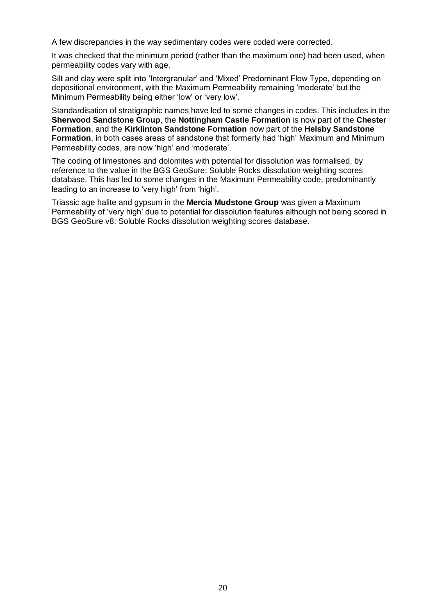A few discrepancies in the way sedimentary codes were coded were corrected.

It was checked that the minimum period (rather than the maximum one) had been used, when permeability codes vary with age.

Silt and clay were split into 'Intergranular' and 'Mixed' Predominant Flow Type, depending on depositional environment, with the Maximum Permeability remaining 'moderate' but the Minimum Permeability being either 'low' or 'very low'.

Standardisation of stratigraphic names have led to some changes in codes. This includes in the **Sherwood Sandstone Group**, the **Nottingham Castle Formation** is now part of the **Chester Formation**, and the **Kirklinton Sandstone Formation** now part of the **Helsby Sandstone Formation**, in both cases areas of sandstone that formerly had 'high' Maximum and Minimum Permeability codes, are now 'high' and 'moderate'.

The coding of limestones and dolomites with potential for dissolution was formalised, by reference to the value in the BGS GeoSure: Soluble Rocks dissolution weighting scores database. This has led to some changes in the Maximum Permeability code, predominantly leading to an increase to 'very high' from 'high'.

Triassic age halite and gypsum in the **Mercia Mudstone Group** was given a Maximum Permeability of 'very high' due to potential for dissolution features although not being scored in BGS GeoSure v8: Soluble Rocks dissolution weighting scores database.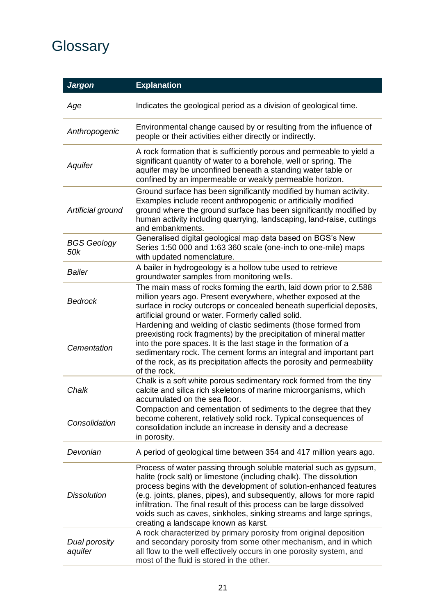# **Glossary**

| <b>Jargon</b>             | <b>Explanation</b>                                                                                                                                                                                                                                                                                                                                                                                                                                                           |
|---------------------------|------------------------------------------------------------------------------------------------------------------------------------------------------------------------------------------------------------------------------------------------------------------------------------------------------------------------------------------------------------------------------------------------------------------------------------------------------------------------------|
| Age                       | Indicates the geological period as a division of geological time.                                                                                                                                                                                                                                                                                                                                                                                                            |
| Anthropogenic             | Environmental change caused by or resulting from the influence of<br>people or their activities either directly or indirectly.                                                                                                                                                                                                                                                                                                                                               |
| Aquifer                   | A rock formation that is sufficiently porous and permeable to yield a<br>significant quantity of water to a borehole, well or spring. The<br>aquifer may be unconfined beneath a standing water table or<br>confined by an impermeable or weakly permeable horizon.                                                                                                                                                                                                          |
| Artificial ground         | Ground surface has been significantly modified by human activity.<br>Examples include recent anthropogenic or artificially modified<br>ground where the ground surface has been significantly modified by<br>human activity including quarrying, landscaping, land-raise, cuttings<br>and embankments.                                                                                                                                                                       |
| <b>BGS Geology</b><br>50k | Generalised digital geological map data based on BGS's New<br>Series 1:50 000 and 1:63 360 scale (one-inch to one-mile) maps<br>with updated nomenclature.                                                                                                                                                                                                                                                                                                                   |
| Bailer                    | A bailer in hydrogeology is a hollow tube used to retrieve<br>groundwater samples from monitoring wells.                                                                                                                                                                                                                                                                                                                                                                     |
| <b>Bedrock</b>            | The main mass of rocks forming the earth, laid down prior to 2.588<br>million years ago. Present everywhere, whether exposed at the<br>surface in rocky outcrops or concealed beneath superficial deposits,<br>artificial ground or water. Formerly called solid.                                                                                                                                                                                                            |
| Cementation               | Hardening and welding of clastic sediments (those formed from<br>preexisting rock fragments) by the precipitation of mineral matter<br>into the pore spaces. It is the last stage in the formation of a<br>sedimentary rock. The cement forms an integral and important part<br>of the rock, as its precipitation affects the porosity and permeability<br>of the rock.                                                                                                      |
| Chalk                     | Chalk is a soft white porous sedimentary rock formed from the tiny<br>calcite and silica rich skeletons of marine microorganisms, which<br>accumulated on the sea floor.                                                                                                                                                                                                                                                                                                     |
| Consolidation             | Compaction and cementation of sediments to the degree that they<br>become coherent, relatively solid rock. Typical consequences of<br>consolidation include an increase in density and a decrease<br>in porosity.                                                                                                                                                                                                                                                            |
| Devonian                  | A period of geological time between 354 and 417 million years ago.                                                                                                                                                                                                                                                                                                                                                                                                           |
| <b>Dissolution</b>        | Process of water passing through soluble material such as gypsum,<br>halite (rock salt) or limestone (including chalk). The dissolution<br>process begins with the development of solution-enhanced features<br>(e.g. joints, planes, pipes), and subsequently, allows for more rapid<br>infiltration. The final result of this process can be large dissolved<br>voids such as caves, sinkholes, sinking streams and large springs,<br>creating a landscape known as karst. |
| Dual porosity<br>aquifer  | A rock characterized by primary porosity from original deposition<br>and secondary porosity from some other mechanism, and in which<br>all flow to the well effectively occurs in one porosity system, and<br>most of the fluid is stored in the other.                                                                                                                                                                                                                      |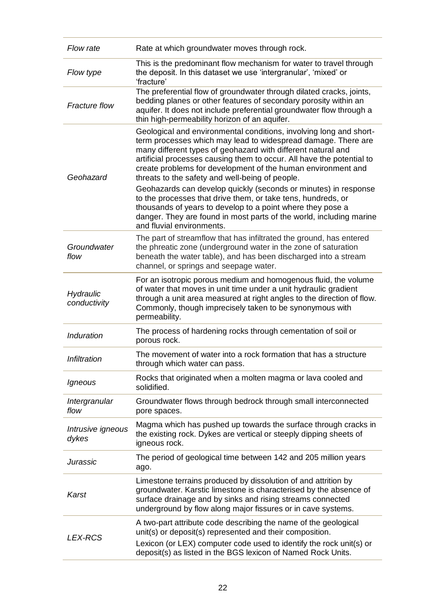| Flow rate                  | Rate at which groundwater moves through rock.                                                                                                                                                                                                                                                                                                                                                   |
|----------------------------|-------------------------------------------------------------------------------------------------------------------------------------------------------------------------------------------------------------------------------------------------------------------------------------------------------------------------------------------------------------------------------------------------|
| Flow type                  | This is the predominant flow mechanism for water to travel through<br>the deposit. In this dataset we use 'intergranular', 'mixed' or<br>'fracture'                                                                                                                                                                                                                                             |
| <b>Fracture flow</b>       | The preferential flow of groundwater through dilated cracks, joints,<br>bedding planes or other features of secondary porosity within an<br>aquifer. It does not include preferential groundwater flow through a<br>thin high-permeability horizon of an aquifer.                                                                                                                               |
| Geohazard                  | Geological and environmental conditions, involving long and short-<br>term processes which may lead to widespread damage. There are<br>many different types of geohazard with different natural and<br>artificial processes causing them to occur. All have the potential to<br>create problems for development of the human environment and<br>threats to the safety and well-being of people. |
|                            | Geohazards can develop quickly (seconds or minutes) in response<br>to the processes that drive them, or take tens, hundreds, or<br>thousands of years to develop to a point where they pose a<br>danger. They are found in most parts of the world, including marine<br>and fluvial environments.                                                                                               |
| Groundwater<br>flow        | The part of streamflow that has infiltrated the ground, has entered<br>the phreatic zone (underground water in the zone of saturation<br>beneath the water table), and has been discharged into a stream<br>channel, or springs and seepage water.                                                                                                                                              |
| Hydraulic<br>conductivity  | For an isotropic porous medium and homogenous fluid, the volume<br>of water that moves in unit time under a unit hydraulic gradient<br>through a unit area measured at right angles to the direction of flow.<br>Commonly, though imprecisely taken to be synonymous with<br>permeability.                                                                                                      |
| Induration                 | The process of hardening rocks through cementation of soil or<br>porous rock.                                                                                                                                                                                                                                                                                                                   |
| Infiltration               | The movement of water into a rock formation that has a structure<br>through which water can pass.                                                                                                                                                                                                                                                                                               |
| Igneous                    | Rocks that originated when a molten magma or lava cooled and<br>solidified.                                                                                                                                                                                                                                                                                                                     |
| Intergranular<br>flow      | Groundwater flows through bedrock through small interconnected<br>pore spaces.                                                                                                                                                                                                                                                                                                                  |
| Intrusive igneous<br>dykes | Magma which has pushed up towards the surface through cracks in<br>the existing rock. Dykes are vertical or steeply dipping sheets of<br>igneous rock.                                                                                                                                                                                                                                          |
| Jurassic                   | The period of geological time between 142 and 205 million years<br>ago.                                                                                                                                                                                                                                                                                                                         |
| Karst                      | Limestone terrains produced by dissolution of and attrition by<br>groundwater. Karstic limestone is characterised by the absence of<br>surface drainage and by sinks and rising streams connected<br>underground by flow along major fissures or in cave systems.                                                                                                                               |
| <b>LEX-RCS</b>             | A two-part attribute code describing the name of the geological<br>unit(s) or deposit(s) represented and their composition.<br>Lexicon (or LEX) computer code used to identify the rock unit(s) or<br>deposit(s) as listed in the BGS lexicon of Named Rock Units.                                                                                                                              |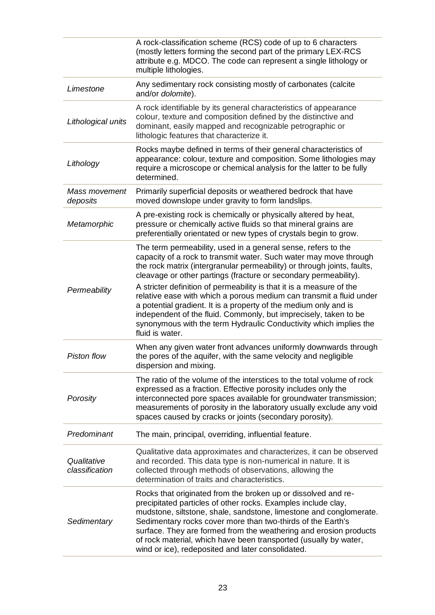|                               | A rock-classification scheme (RCS) code of up to 6 characters<br>(mostly letters forming the second part of the primary LEX-RCS<br>attribute e.g. MDCO. The code can represent a single lithology or<br>multiple lithologies.                                                                                                                                                                                                                                                                                                                                                                                                                                    |
|-------------------------------|------------------------------------------------------------------------------------------------------------------------------------------------------------------------------------------------------------------------------------------------------------------------------------------------------------------------------------------------------------------------------------------------------------------------------------------------------------------------------------------------------------------------------------------------------------------------------------------------------------------------------------------------------------------|
| Limestone                     | Any sedimentary rock consisting mostly of carbonates (calcite<br>and/or dolomite).                                                                                                                                                                                                                                                                                                                                                                                                                                                                                                                                                                               |
| Lithological units            | A rock identifiable by its general characteristics of appearance<br>colour, texture and composition defined by the distinctive and<br>dominant, easily mapped and recognizable petrographic or<br>lithologic features that characterize it.                                                                                                                                                                                                                                                                                                                                                                                                                      |
| Lithology                     | Rocks maybe defined in terms of their general characteristics of<br>appearance: colour, texture and composition. Some lithologies may<br>require a microscope or chemical analysis for the latter to be fully<br>determined.                                                                                                                                                                                                                                                                                                                                                                                                                                     |
| Mass movement<br>deposits     | Primarily superficial deposits or weathered bedrock that have<br>moved downslope under gravity to form landslips.                                                                                                                                                                                                                                                                                                                                                                                                                                                                                                                                                |
| Metamorphic                   | A pre-existing rock is chemically or physically altered by heat,<br>pressure or chemically active fluids so that mineral grains are<br>preferentially orientated or new types of crystals begin to grow.                                                                                                                                                                                                                                                                                                                                                                                                                                                         |
| Permeability                  | The term permeability, used in a general sense, refers to the<br>capacity of a rock to transmit water. Such water may move through<br>the rock matrix (intergranular permeability) or through joints, faults,<br>cleavage or other partings (fracture or secondary permeability).<br>A stricter definition of permeability is that it is a measure of the<br>relative ease with which a porous medium can transmit a fluid under<br>a potential gradient. It is a property of the medium only and is<br>independent of the fluid. Commonly, but imprecisely, taken to be<br>synonymous with the term Hydraulic Conductivity which implies the<br>fluid is water. |
| <b>Piston flow</b>            | When any given water front advances uniformly downwards through<br>the pores of the aquifer, with the same velocity and negligible<br>dispersion and mixing.                                                                                                                                                                                                                                                                                                                                                                                                                                                                                                     |
| Porosity                      | The ratio of the volume of the interstices to the total volume of rock<br>expressed as a fraction. Effective porosity includes only the<br>interconnected pore spaces available for groundwater transmission;<br>measurements of porosity in the laboratory usually exclude any void<br>spaces caused by cracks or joints (secondary porosity).                                                                                                                                                                                                                                                                                                                  |
| Predominant                   | The main, principal, overriding, influential feature.                                                                                                                                                                                                                                                                                                                                                                                                                                                                                                                                                                                                            |
| Qualitative<br>classification | Qualitative data approximates and characterizes, it can be observed<br>and recorded. This data type is non-numerical in nature. It is<br>collected through methods of observations, allowing the<br>determination of traits and characteristics.                                                                                                                                                                                                                                                                                                                                                                                                                 |
| Sedimentary                   | Rocks that originated from the broken up or dissolved and re-<br>precipitated particles of other rocks. Examples include clay,<br>mudstone, siltstone, shale, sandstone, limestone and conglomerate.<br>Sedimentary rocks cover more than two-thirds of the Earth's<br>surface. They are formed from the weathering and erosion products<br>of rock material, which have been transported (usually by water,<br>wind or ice), redeposited and later consolidated.                                                                                                                                                                                                |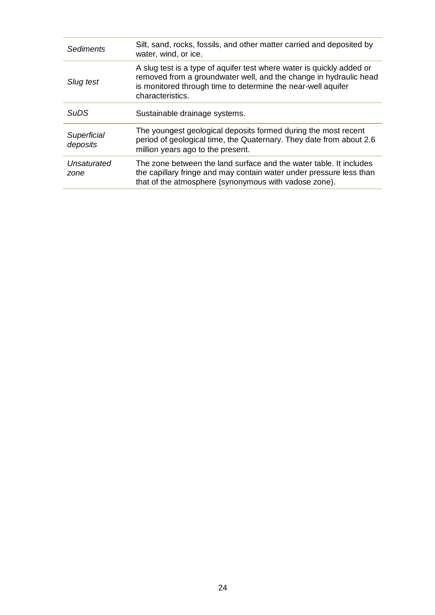| <b>Sediments</b>        | Silt, sand, rocks, fossils, and other matter carried and deposited by<br>water, wind, or ice.                                                                                                                                  |
|-------------------------|--------------------------------------------------------------------------------------------------------------------------------------------------------------------------------------------------------------------------------|
| Slug test               | A slug test is a type of aquifer test where water is quickly added or<br>removed from a groundwater well, and the change in hydraulic head<br>is monitored through time to determine the near-well aquifer<br>characteristics. |
| <b>SuDS</b>             | Sustainable drainage systems.                                                                                                                                                                                                  |
| Superficial<br>deposits | The youngest geological deposits formed during the most recent<br>period of geological time, the Quaternary. They date from about 2.6<br>million years ago to the present.                                                     |
| Unsaturated<br>zone     | The zone between the land surface and the water table. It includes<br>the capillary fringe and may contain water under pressure less than<br>that of the atmosphere (synonymous with vadose zone).                             |